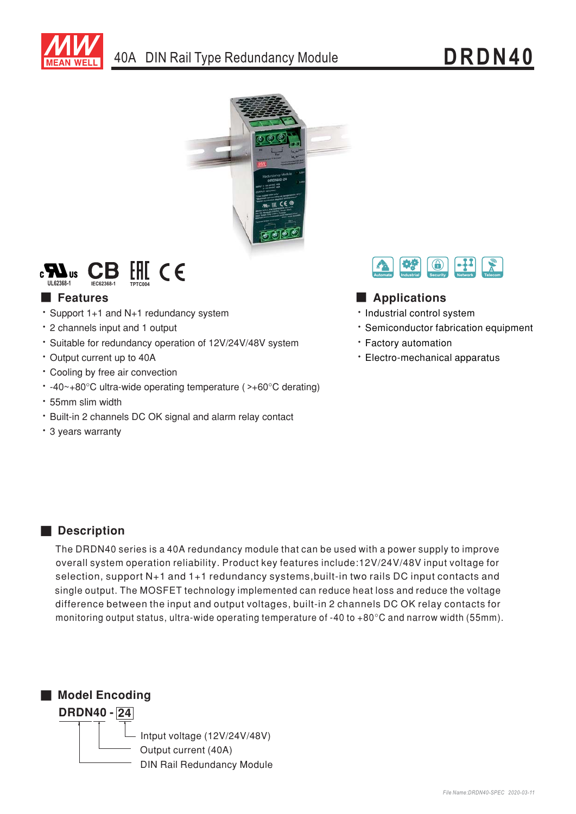





## **Executer** Features

- \* Support 1+1 and N+1 redundancy system
- \* 2 channels input and 1 output
- · Suitable for redundancy operation of 12V/24V/48V system
- Output current up to 40A
- Cooling by free air convection
- $\cdot$  -40~+80°C ultra-wide operating temperature (>+60°C derating)
- \* 55mm slim width
- · Built-in 2 channels DC OK signal and alarm relay contact
- \* 3 years warranty



## Applications

- · Industrial control system
- \* Semiconductor fabrication equipment
- · Factory automation
- · Electro-mechanical apparatus

### Description

The DRDN40 series is a 40A redundancy module that can be used with a power supply to improve overall system operation reliability. Product key features include:12V/24V/48V input voltage for selection, support N+1 and 1+1 redundancy systems, built-in two rails DC input contacts and single output. The MOSFET technology implemented can reduce heat loss and reduce the voltage difference between the input and output voltages, built-in 2 channels DC OK relay contacts for monitoring output status, ultra-wide operating temperature of -40 to +80°C and narrow width (55mm).

Model Encoding



Intput voltage (12V/24V/48V) Output current (40A) **DIN Rail Redundancy Module**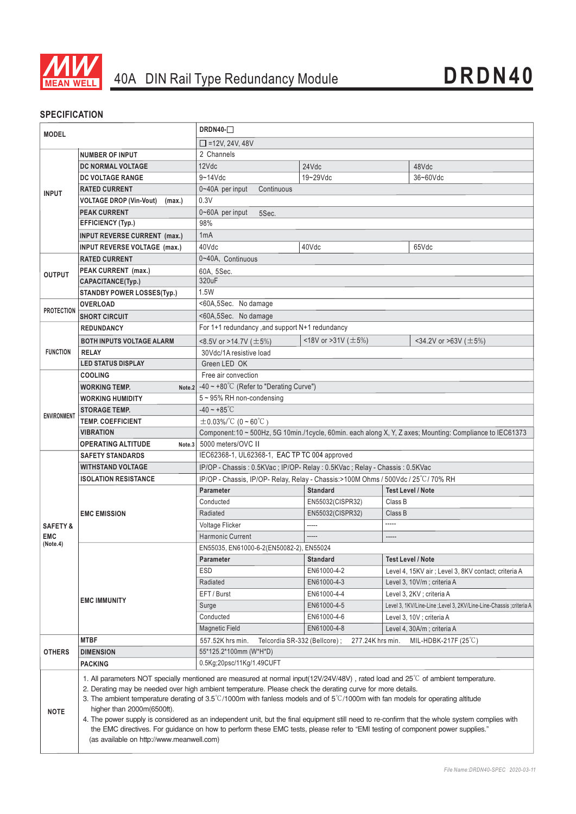

### **SPECIFICATION**

| <b>MODEL</b>                                  |                                                                                                                                                                                                                                                                                                                                                                                                                                                                                                                                                                                                                                                                                                                                                                     | $DRDN40-$                                                                                                |                          |                                                                      |  |
|-----------------------------------------------|---------------------------------------------------------------------------------------------------------------------------------------------------------------------------------------------------------------------------------------------------------------------------------------------------------------------------------------------------------------------------------------------------------------------------------------------------------------------------------------------------------------------------------------------------------------------------------------------------------------------------------------------------------------------------------------------------------------------------------------------------------------------|----------------------------------------------------------------------------------------------------------|--------------------------|----------------------------------------------------------------------|--|
|                                               |                                                                                                                                                                                                                                                                                                                                                                                                                                                                                                                                                                                                                                                                                                                                                                     | $\Box$ =12V, 24V, 48V                                                                                    |                          |                                                                      |  |
| <b>INPUT</b>                                  | <b>NUMBER OF INPUT</b>                                                                                                                                                                                                                                                                                                                                                                                                                                                                                                                                                                                                                                                                                                                                              | 2 Channels                                                                                               |                          |                                                                      |  |
|                                               | DC NORMAL VOLTAGE                                                                                                                                                                                                                                                                                                                                                                                                                                                                                                                                                                                                                                                                                                                                                   | 12Vdc                                                                                                    | 24Vdc                    | 48Vdc                                                                |  |
|                                               | <b>DC VOLTAGE RANGE</b>                                                                                                                                                                                                                                                                                                                                                                                                                                                                                                                                                                                                                                                                                                                                             | $9 - 14$ Vdc                                                                                             | 19~29Vdc                 | 36~60Vdc                                                             |  |
|                                               | <b>RATED CURRENT</b>                                                                                                                                                                                                                                                                                                                                                                                                                                                                                                                                                                                                                                                                                                                                                | 0~40A per input<br>Continuous                                                                            |                          |                                                                      |  |
|                                               | <b>VOLTAGE DROP (Vin-Vout)</b><br>(max.)                                                                                                                                                                                                                                                                                                                                                                                                                                                                                                                                                                                                                                                                                                                            | 0.3V                                                                                                     |                          |                                                                      |  |
|                                               | <b>PEAK CURRENT</b>                                                                                                                                                                                                                                                                                                                                                                                                                                                                                                                                                                                                                                                                                                                                                 | 0~60A per input<br>5Sec.                                                                                 |                          |                                                                      |  |
|                                               | <b>EFFICIENCY (Typ.)</b>                                                                                                                                                                                                                                                                                                                                                                                                                                                                                                                                                                                                                                                                                                                                            | 98%                                                                                                      |                          |                                                                      |  |
|                                               | <b>INPUT REVERSE CURRENT (max.)</b>                                                                                                                                                                                                                                                                                                                                                                                                                                                                                                                                                                                                                                                                                                                                 | 1mA                                                                                                      |                          |                                                                      |  |
|                                               | INPUT REVERSE VOLTAGE (max.)                                                                                                                                                                                                                                                                                                                                                                                                                                                                                                                                                                                                                                                                                                                                        | 40Vdc                                                                                                    | 40Vdc                    | 65Vdc                                                                |  |
| <b>OUTPUT</b>                                 | <b>RATED CURRENT</b>                                                                                                                                                                                                                                                                                                                                                                                                                                                                                                                                                                                                                                                                                                                                                | 0~40A, Continuous                                                                                        |                          |                                                                      |  |
|                                               | PEAK CURRENT (max.)                                                                                                                                                                                                                                                                                                                                                                                                                                                                                                                                                                                                                                                                                                                                                 | 60A, 5Sec.                                                                                               |                          |                                                                      |  |
|                                               | CAPACITANCE(Typ.)                                                                                                                                                                                                                                                                                                                                                                                                                                                                                                                                                                                                                                                                                                                                                   | 320uF                                                                                                    |                          |                                                                      |  |
|                                               | <b>STANDBY POWER LOSSES(Typ.)</b>                                                                                                                                                                                                                                                                                                                                                                                                                                                                                                                                                                                                                                                                                                                                   | 1.5W                                                                                                     |                          |                                                                      |  |
|                                               | <b>OVERLOAD</b>                                                                                                                                                                                                                                                                                                                                                                                                                                                                                                                                                                                                                                                                                                                                                     | <60A,5Sec. No damage                                                                                     |                          |                                                                      |  |
| <b>PROTECTION</b>                             | <b>SHORT CIRCUIT</b>                                                                                                                                                                                                                                                                                                                                                                                                                                                                                                                                                                                                                                                                                                                                                | <60A,5Sec. No damage                                                                                     |                          |                                                                      |  |
|                                               | <b>REDUNDANCY</b>                                                                                                                                                                                                                                                                                                                                                                                                                                                                                                                                                                                                                                                                                                                                                   | For 1+1 redundancy , and support N+1 redundancy                                                          |                          |                                                                      |  |
| <b>FUNCTION</b>                               | <b>BOTH INPUTS VOLTAGE ALARM</b>                                                                                                                                                                                                                                                                                                                                                                                                                                                                                                                                                                                                                                                                                                                                    | <8.5V or >14.7V ( $\pm$ 5%)                                                                              | <18V or >31V ( $\pm$ 5%) | <34.2V or >63V ( $\pm$ 5%)                                           |  |
|                                               | <b>RELAY</b>                                                                                                                                                                                                                                                                                                                                                                                                                                                                                                                                                                                                                                                                                                                                                        | 30Vdc/1A resistive load                                                                                  |                          |                                                                      |  |
|                                               | <b>LED STATUS DISPLAY</b>                                                                                                                                                                                                                                                                                                                                                                                                                                                                                                                                                                                                                                                                                                                                           | Green LED OK                                                                                             |                          |                                                                      |  |
|                                               | <b>COOLING</b>                                                                                                                                                                                                                                                                                                                                                                                                                                                                                                                                                                                                                                                                                                                                                      | Free air convection                                                                                      |                          |                                                                      |  |
| <b>ENVIRONMENT</b>                            | <b>WORKING TEMP.</b>                                                                                                                                                                                                                                                                                                                                                                                                                                                                                                                                                                                                                                                                                                                                                | Note.2 $-40 \sim +80^{\circ}$ C (Refer to "Derating Curve")                                              |                          |                                                                      |  |
|                                               | <b>WORKING HUMIDITY</b>                                                                                                                                                                                                                                                                                                                                                                                                                                                                                                                                                                                                                                                                                                                                             | 5~95% RH non-condensing                                                                                  |                          |                                                                      |  |
|                                               | <b>STORAGE TEMP.</b>                                                                                                                                                                                                                                                                                                                                                                                                                                                                                                                                                                                                                                                                                                                                                | $-40 - +85^{\circ}C$                                                                                     |                          |                                                                      |  |
|                                               | TEMP. COEFFICIENT                                                                                                                                                                                                                                                                                                                                                                                                                                                                                                                                                                                                                                                                                                                                                   | $\pm$ 0.03%/°C (0~60°C)                                                                                  |                          |                                                                      |  |
|                                               | <b>VIBRATION</b>                                                                                                                                                                                                                                                                                                                                                                                                                                                                                                                                                                                                                                                                                                                                                    | Component:10 ~ 500Hz, 5G 10min./1cycle, 60min. each along X, Y, Z axes; Mounting: Compliance to IEC61373 |                          |                                                                      |  |
|                                               | <b>OPERATING ALTITUDE</b><br>Note.3                                                                                                                                                                                                                                                                                                                                                                                                                                                                                                                                                                                                                                                                                                                                 | 5000 meters/OVC II                                                                                       |                          |                                                                      |  |
| <b>SAFETY &amp;</b><br><b>EMC</b><br>(Note.4) | <b>SAFETY STANDARDS</b>                                                                                                                                                                                                                                                                                                                                                                                                                                                                                                                                                                                                                                                                                                                                             | IEC62368-1, UL62368-1, EAC TP TC 004 approved                                                            |                          |                                                                      |  |
|                                               | <b>WITHSTAND VOLTAGE</b>                                                                                                                                                                                                                                                                                                                                                                                                                                                                                                                                                                                                                                                                                                                                            | IP/OP - Chassis: 0.5KVac; IP/OP- Relay: 0.5KVac; Relay - Chassis: 0.5KVac                                |                          |                                                                      |  |
|                                               | <b>ISOLATION RESISTANCE</b>                                                                                                                                                                                                                                                                                                                                                                                                                                                                                                                                                                                                                                                                                                                                         | IP/OP - Chassis, IP/OP- Relay, Relay - Chassis: >100M Ohms / 500Vdc / 25°C/70% RH                        |                          |                                                                      |  |
|                                               | <b>EMC EMISSION</b>                                                                                                                                                                                                                                                                                                                                                                                                                                                                                                                                                                                                                                                                                                                                                 | <b>Standard</b><br><b>Test Level / Note</b><br><b>Parameter</b>                                          |                          |                                                                      |  |
|                                               |                                                                                                                                                                                                                                                                                                                                                                                                                                                                                                                                                                                                                                                                                                                                                                     | Conducted                                                                                                | EN55032(CISPR32)         | Class B                                                              |  |
|                                               |                                                                                                                                                                                                                                                                                                                                                                                                                                                                                                                                                                                                                                                                                                                                                                     | Radiated                                                                                                 | EN55032(CISPR32)         | Class B                                                              |  |
|                                               |                                                                                                                                                                                                                                                                                                                                                                                                                                                                                                                                                                                                                                                                                                                                                                     | Voltage Flicker                                                                                          | -----                    | -----                                                                |  |
|                                               |                                                                                                                                                                                                                                                                                                                                                                                                                                                                                                                                                                                                                                                                                                                                                                     | <b>Harmonic Current</b>                                                                                  | -----                    | -----                                                                |  |
|                                               |                                                                                                                                                                                                                                                                                                                                                                                                                                                                                                                                                                                                                                                                                                                                                                     | EN55035, EN61000-6-2(EN50082-2), EN55024                                                                 |                          |                                                                      |  |
|                                               |                                                                                                                                                                                                                                                                                                                                                                                                                                                                                                                                                                                                                                                                                                                                                                     | <b>Parameter</b>                                                                                         | <b>Standard</b>          | <b>Test Level / Note</b>                                             |  |
|                                               |                                                                                                                                                                                                                                                                                                                                                                                                                                                                                                                                                                                                                                                                                                                                                                     | ESD                                                                                                      | EN61000-4-2              | Level 4, 15KV air ; Level 3, 8KV contact; criteria A                 |  |
|                                               |                                                                                                                                                                                                                                                                                                                                                                                                                                                                                                                                                                                                                                                                                                                                                                     | Radiated                                                                                                 | EN61000-4-3              | Level 3, 10V/m; criteria A                                           |  |
|                                               |                                                                                                                                                                                                                                                                                                                                                                                                                                                                                                                                                                                                                                                                                                                                                                     | EFT / Burst                                                                                              | EN61000-4-4              | Level 3, 2KV ; criteria A                                            |  |
|                                               | <b>EMC IMMUNITY</b>                                                                                                                                                                                                                                                                                                                                                                                                                                                                                                                                                                                                                                                                                                                                                 | Surge                                                                                                    | EN61000-4-5              | Level 3, 1KV/Line-Line ; Level 3, 2KV/Line-Line-Chassis ; criteria A |  |
|                                               |                                                                                                                                                                                                                                                                                                                                                                                                                                                                                                                                                                                                                                                                                                                                                                     | Conducted                                                                                                | EN61000-4-6              | Level 3, 10V ; criteria A                                            |  |
|                                               |                                                                                                                                                                                                                                                                                                                                                                                                                                                                                                                                                                                                                                                                                                                                                                     | <b>Magnetic Field</b>                                                                                    | EN61000-4-8              | Level 4, 30A/m; criteria A                                           |  |
| <b>OTHERS</b>                                 | <b>MTBF</b>                                                                                                                                                                                                                                                                                                                                                                                                                                                                                                                                                                                                                                                                                                                                                         | 277.24K hrs min.<br>MIL-HDBK-217F (25°C)<br>557.52K hrs min.<br>Telcordia SR-332 (Bellcore);             |                          |                                                                      |  |
|                                               | <b>DIMENSION</b>                                                                                                                                                                                                                                                                                                                                                                                                                                                                                                                                                                                                                                                                                                                                                    | 55*125.2*100mm (W*H*D)                                                                                   |                          |                                                                      |  |
|                                               | <b>PACKING</b>                                                                                                                                                                                                                                                                                                                                                                                                                                                                                                                                                                                                                                                                                                                                                      | 0.5Kg;20psc/11Kg/1.49CUFT                                                                                |                          |                                                                      |  |
| <b>NOTE</b>                                   | 1. All parameters NOT specially mentioned are measured at normal input(12V/24V/48V), rated load and 25°C of ambient temperature.<br>2. Derating may be needed over high ambient temperature. Please check the derating curve for more details.<br>3. The ambient temperature derating of $3.5^{\circ}$ C/1000m with fanless models and of $5^{\circ}$ C/1000m with fan models for operating altitude<br>higher than 2000m(6500ft).<br>4. The power supply is considered as an independent unit, but the final equipment still need to re-confirm that the whole system complies with<br>the EMC directives. For guidance on how to perform these EMC tests, please refer to "EMI testing of component power supplies."<br>(as available on http://www.meanwell.com) |                                                                                                          |                          |                                                                      |  |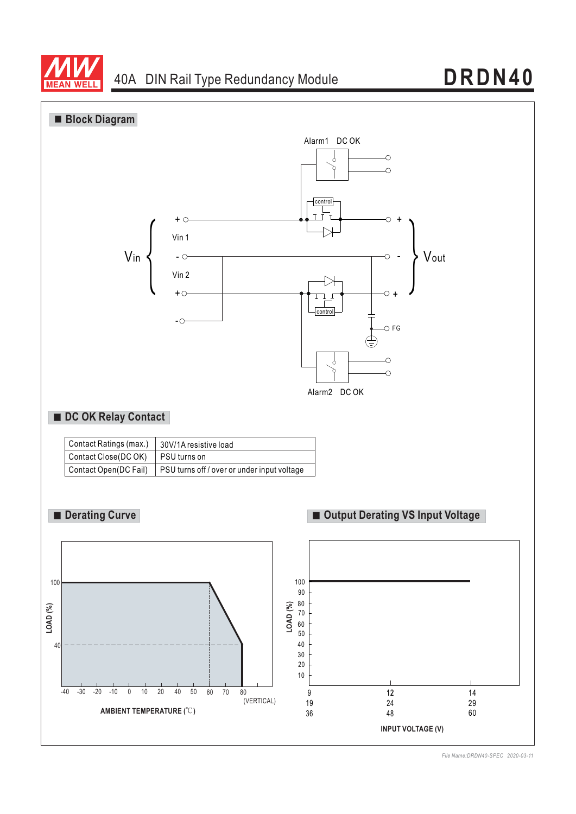



*File Name:DRDN40-SPEC 2020-03-11*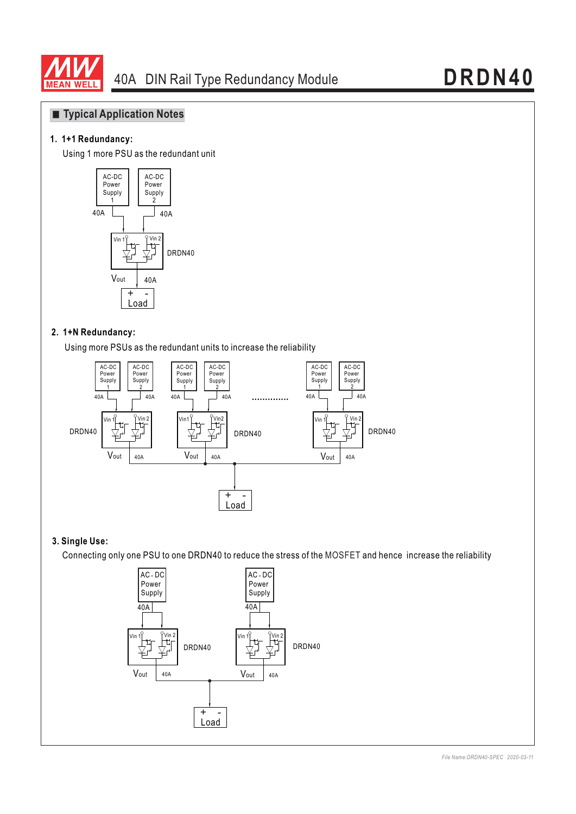

## **Typical Application Notes**

#### **1. 1+1 Redundancy:**

Using 1 more PSU as the redundant unit



#### **2. 1+N Redundancy:**

Using more PSUs as the redundant units to increase the reliability



#### **3. Single Use:**

Connecting only one PSU to one DRDN40 to reduce the stress of the MOSFET and hence increase the reliability